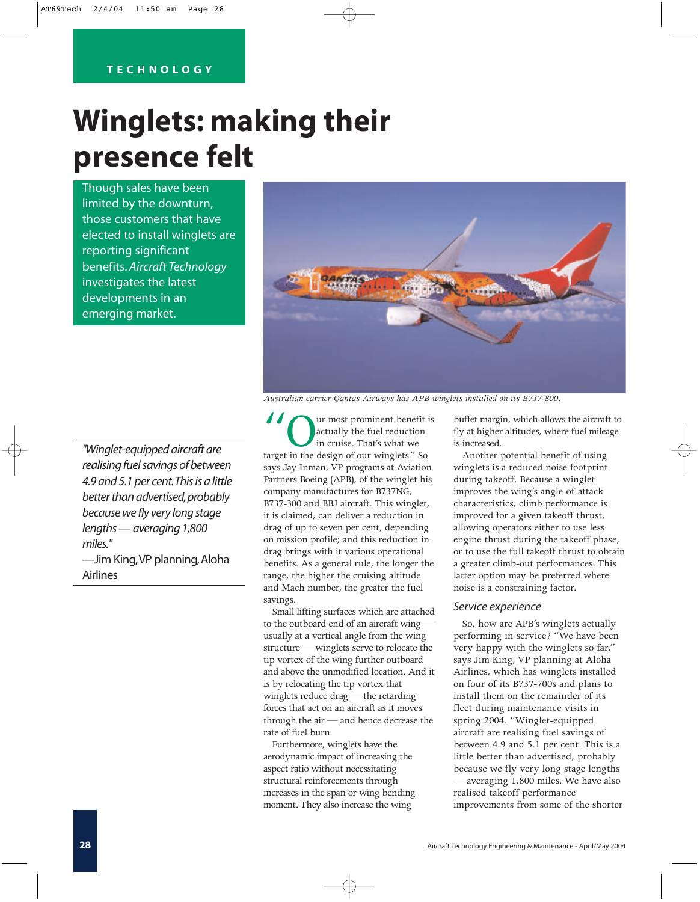## **TECHNOLOGY**

# **Winglets: making their presence felt**

Though sales have been limited by the downturn, those customers that have elected to install winglets are reporting significant benefits. *Aircraft Technology* investigates the latest developments in an emerging market.



*Australian carrier Qantas Airways has APB winglets installed on its B737-800.* 

*"Winglet-equipped aircraft are realising fuel savings of between 4.9 and 5.1 per cent.This is a little better than advertised,probably because we fly very long stage lengths — averaging 1,800 miles."*

—Jim King,VP planning,Aloha Airlines

If  $\sum_{\text{int} \text{count}}$  actually the fuel reduction in cruise. That's what we target in the design of our winglets." So actually the fuel reduction in cruise. That's what we says Jay Inman, VP programs at Aviation Partners Boeing (APB), of the winglet his company manufactures for B737NG, B737-300 and BBJ aircraft. This winglet, it is claimed, can deliver a reduction in drag of up to seven per cent, depending on mission profile; and this reduction in drag brings with it various operational benefits. As a general rule, the longer the range, the higher the cruising altitude and Mach number, the greater the fuel savings.

Small lifting surfaces which are attached to the outboard end of an aircraft wing usually at a vertical angle from the wing structure — winglets serve to relocate the tip vortex of the wing further outboard and above the unmodified location. And it is by relocating the tip vortex that winglets reduce drag — the retarding forces that act on an aircraft as it moves through the air — and hence decrease the rate of fuel burn.

Furthermore, winglets have the aerodynamic impact of increasing the aspect ratio without necessitating structural reinforcements through increases in the span or wing bending moment. They also increase the wing

buffet margin, which allows the aircraft to fly at higher altitudes, where fuel mileage is increased.

Another potential benefit of using winglets is a reduced noise footprint during takeoff. Because a winglet improves the wing's angle-of-attack characteristics, climb performance is improved for a given takeoff thrust, allowing operators either to use less engine thrust during the takeoff phase, or to use the full takeoff thrust to obtain a greater climb-out performances. This latter option may be preferred where noise is a constraining factor.

### *Service experience*

So, how are APB's winglets actually performing in service? "We have been very happy with the winglets so far," says Jim King, VP planning at Aloha Airlines, which has winglets installed on four of its B737-700s and plans to install them on the remainder of its fleet during maintenance visits in spring 2004. "Winglet-equipped aircraft are realising fuel savings of between 4.9 and 5.1 per cent. This is a little better than advertised, probably because we fly very long stage lengths — averaging 1,800 miles. We have also realised takeoff performance improvements from some of the shorter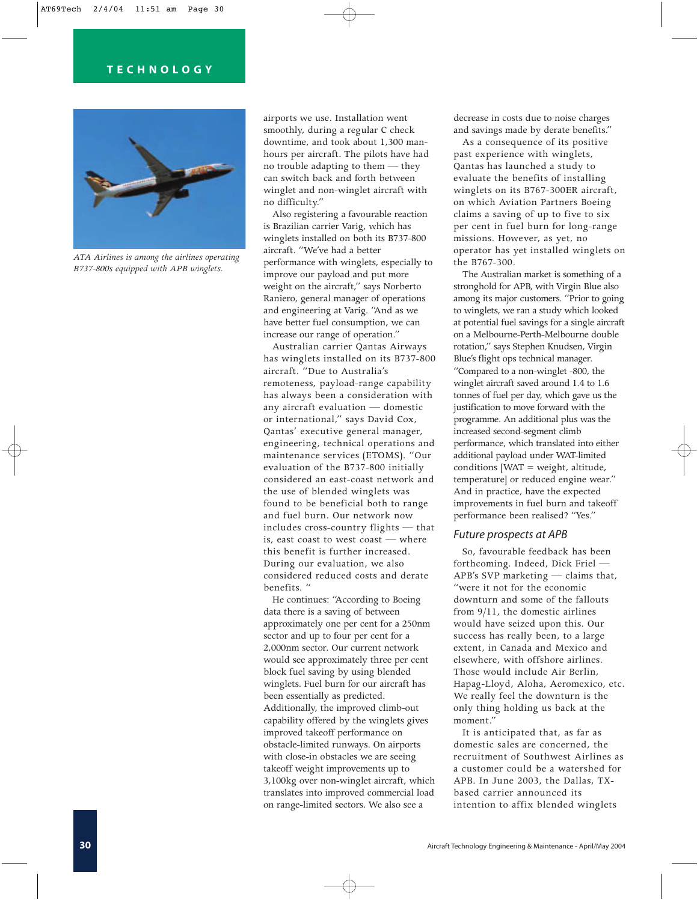

*ATA Airlines is among the airlines operating B737-800s equipped with APB winglets.*

airports we use. Installation went smoothly, during a regular C check downtime, and took about 1,300 manhours per aircraft. The pilots have had no trouble adapting to them — they can switch back and forth between winglet and non-winglet aircraft with no difficulty."

Also registering a favourable reaction is Brazilian carrier Varig, which has winglets installed on both its B737-800 aircraft. "We've had a better performance with winglets, especially to improve our payload and put more weight on the aircraft," says Norberto Raniero, general manager of operations and engineering at Varig. "And as we have better fuel consumption, we can increase our range of operation."

Australian carrier Qantas Airways has winglets installed on its B737-800 aircraft. "Due to Australia's remoteness, payload-range capability has always been a consideration with any aircraft evaluation — domestic or international," says David Cox, Qantas' executive general manager, engineering, technical operations and maintenance services (ETOMS). "Our evaluation of the B737-800 initially considered an east-coast network and the use of blended winglets was found to be beneficial both to range and fuel burn. Our network now includes cross-country flights — that is, east coast to west coast — where this benefit is further increased. During our evaluation, we also considered reduced costs and derate benefits. "

He continues: "According to Boeing data there is a saving of between approximately one per cent for a 250nm sector and up to four per cent for a 2,000nm sector. Our current network would see approximately three per cent block fuel saving by using blended winglets. Fuel burn for our aircraft has been essentially as predicted. Additionally, the improved climb-out capability offered by the winglets gives improved takeoff performance on obstacle-limited runways. On airports with close-in obstacles we are seeing takeoff weight improvements up to 3,100kg over non-winglet aircraft, which translates into improved commercial load on range-limited sectors. We also see a

decrease in costs due to noise charges and savings made by derate benefits."

As a consequence of its positive past experience with winglets, Qantas has launched a study to evaluate the benefits of installing winglets on its B767-300ER aircraft, on which Aviation Partners Boeing claims a saving of up to five to six per cent in fuel burn for long-range missions. However, as yet, no operator has yet installed winglets on the B767-300.

The Australian market is something of a stronghold for APB, with Virgin Blue also among its major customers. "Prior to going to winglets, we ran a study which looked at potential fuel savings for a single aircraft on a Melbourne-Perth-Melbourne double rotation," says Stephen Knudsen, Virgin Blue's flight ops technical manager. "Compared to a non-winglet -800, the winglet aircraft saved around 1.4 to 1.6 tonnes of fuel per day, which gave us the justification to move forward with the programme. An additional plus was the increased second-segment climb performance, which translated into either additional payload under WAT-limited conditions  $[WAT = weight, altitude,$ temperature] or reduced engine wear." And in practice, have the expected improvements in fuel burn and takeoff performance been realised? "Yes."

### *Future prospects at APB*

So, favourable feedback has been forthcoming. Indeed, Dick Friel — APB's SVP marketing — claims that, "were it not for the economic downturn and some of the fallouts from 9/11, the domestic airlines would have seized upon this. Our success has really been, to a large extent, in Canada and Mexico and elsewhere, with offshore airlines. Those would include Air Berlin, Hapag-Lloyd, Aloha, Aeromexico, etc. We really feel the downturn is the only thing holding us back at the moment."

It is anticipated that, as far as domestic sales are concerned, the recruitment of Southwest Airlines as a customer could be a watershed for APB. In June 2003, the Dallas, TXbased carrier announced its intention to affix blended winglets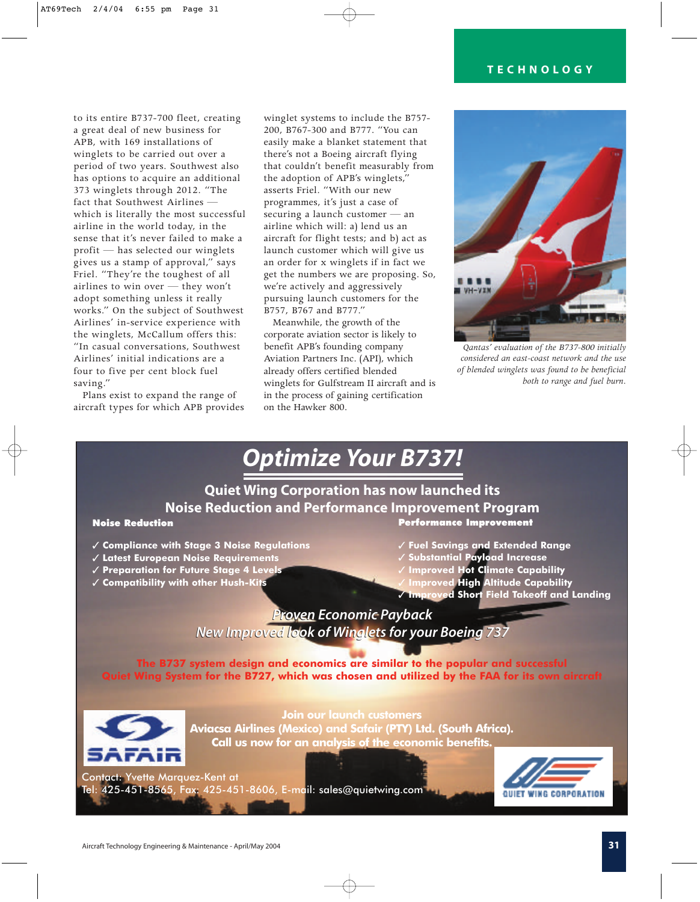to its entire B737-700 fleet, creating a great deal of new business for APB, with 169 installations of winglets to be carried out over a period of two years. Southwest also has options to acquire an additional 373 winglets through 2012. "The fact that Southwest Airlines which is literally the most successful airline in the world today, in the sense that it's never failed to make a profit — has selected our winglets gives us a stamp of approval," says Friel. "They're the toughest of all airlines to win over — they won't adopt something unless it really works." On the subject of Southwest Airlines' in-service experience with the winglets, McCallum offers this: "In casual conversations, Southwest Airlines' initial indications are a four to five per cent block fuel saving."

Plans exist to expand the range of aircraft types for which APB provides winglet systems to include the B757- 200, B767-300 and B777. "You can easily make a blanket statement that there's not a Boeing aircraft flying that couldn't benefit measurably from the adoption of APB's winglets," asserts Friel. "With our new programmes, it's just a case of securing a launch customer — an airline which will: a) lend us an aircraft for flight tests; and b) act as launch customer which will give us an order for x winglets if in fact we get the numbers we are proposing. So, we're actively and aggressively pursuing launch customers for the B757, B767 and B777."

Meanwhile, the growth of the corporate aviation sector is likely to benefit APB's founding company Aviation Partners Inc. (API), which already offers certified blended winglets for Gulfstream II aircraft and is in the process of gaining certification on the Hawker 800.



*Qantas' evaluation of the B737-800 initially considered an east-coast network and the use of blended winglets was found to be beneficial both to range and fuel burn.*

# *Optimize Your B737!*

# **Quiet Wing Corporation has now launched its Noise Reduction and Performance Improvement Program** Performance Improvement

#### Noise Reduction

- ✓ **Compliance with Stage 3 Noise Regulations**
- ✓ **Latest European Noise Requirements**
- ✓ **Preparation for Future Stage 4 Levels**
- ✓ **Compatibility with other Hush-Kits**
- ✓ **Fuel Savings and Extended Range**
- ✓ **Substantial Payload Increase**
- **Improved Hot Climate Capability**
- ✓ **Improved High Altitude Capability**
- ✓ **Improved Short Field Takeoff and Landing**

*Proven Economic Payback Proven Economic Payback New Improved look of Winglets for your Boeing 737 New Improved look of Winglets for your Boeing 737*

**The B737 system design and economics are similar to the popular and successful Quiet Wing System for the B727, which was chosen and utilized by the FAA for its own aircraft**



**Join our launch customers Aviacsa Airlines (Mexico) and Safair (PTY) Ltd. (South Africa). Call us now for an analysis of the economic benefits.**

 $Tel: 425 - 451 - 8565$  Fax:  $425 - 45$  $T_{\rm eff}$  ,  $T_{\rm eff}$  ,  $T_{\rm eff}$  ,  $T_{\rm eff}$  ,  $T_{\rm eff}$  ,  $T_{\rm eff}$  ,  $T_{\rm eff}$  ,  $T_{\rm eff}$  ,  $T_{\rm eff}$  ,  $T_{\rm eff}$  ,  $T_{\rm eff}$  ,  $T_{\rm eff}$  ,  $T_{\rm eff}$  ,  $T_{\rm eff}$  ,  $T_{\rm eff}$  ,  $T_{\rm eff}$  ,  $T_{\rm eff}$  ,  $T_{\rm eff}$  ,  $T_{\rm eff}$  ,  $T_{\rm eff}$  ,